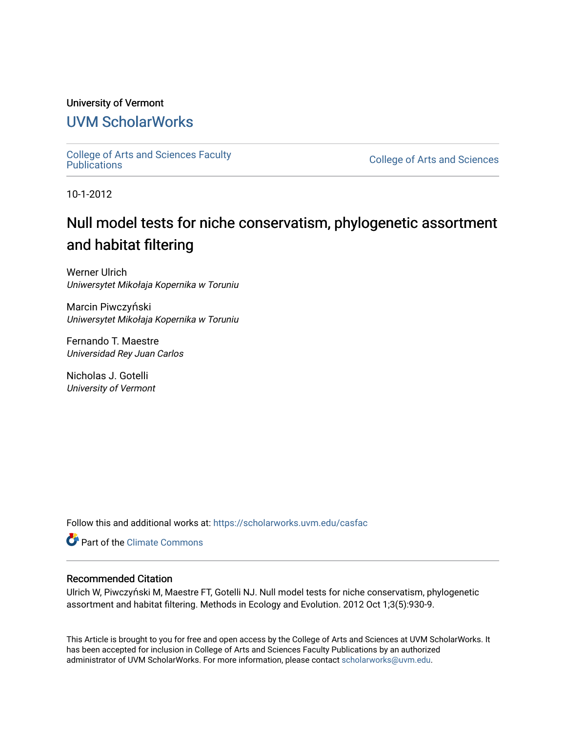## University of Vermont [UVM ScholarWorks](https://scholarworks.uvm.edu/)

[College of Arts and Sciences Faculty](https://scholarworks.uvm.edu/casfac)

**College of Arts and Sciences** 

10-1-2012

## Null model tests for niche conservatism, phylogenetic assortment and habitat filtering

Werner Ulrich Uniwersytet Mikołaja Kopernika w Toruniu

Marcin Piwczyński Uniwersytet Mikołaja Kopernika w Toruniu

Fernando T. Maestre Universidad Rey Juan Carlos

Nicholas J. Gotelli University of Vermont

Follow this and additional works at: [https://scholarworks.uvm.edu/casfac](https://scholarworks.uvm.edu/casfac?utm_source=scholarworks.uvm.edu%2Fcasfac%2F69&utm_medium=PDF&utm_campaign=PDFCoverPages) 

**C** Part of the Climate Commons

## Recommended Citation

Ulrich W, Piwczyński M, Maestre FT, Gotelli NJ. Null model tests for niche conservatism, phylogenetic assortment and habitat filtering. Methods in Ecology and Evolution. 2012 Oct 1;3(5):930-9.

This Article is brought to you for free and open access by the College of Arts and Sciences at UVM ScholarWorks. It has been accepted for inclusion in College of Arts and Sciences Faculty Publications by an authorized administrator of UVM ScholarWorks. For more information, please contact [scholarworks@uvm.edu](mailto:scholarworks@uvm.edu).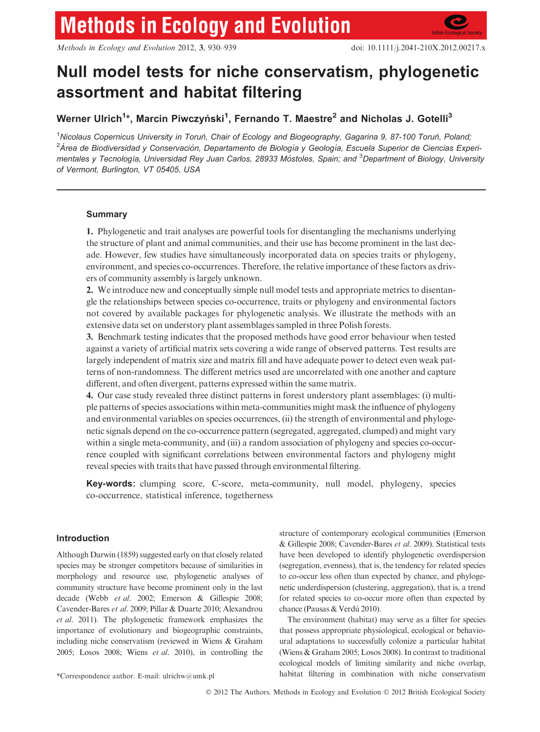Methods in Ecology and Evolution 2012, 3, 930–939 doi: 10.1111/j.2041-210X.2012.00217.x

# Null model tests for niche conservatism, phylogenetic assortment and habitat filtering

Werner Ulrich<sup>1</sup>\*, Marcin Piwczyński<sup>1</sup>, Fernando T. Maestre<sup>2</sup> and Nicholas J. Gotelli<sup>3</sup>

<sup>1</sup>Nicolaus Copernicus University in Toruń, Chair of Ecology and Biogeography, Gagarina 9, 87-100 Toruń, Poland, <sup>2</sup>Área de Biodiversidad y Conservación, Departamento de Biología y Geología, Escuela Superior de Ciencias Experimentales y Tecnología, Universidad Rey Juan Carlos, 28933 Móstoles, Spain; and <sup>3</sup>Department of Biology, University of Vermont, Burlington, VT 05405, USA

### Summary

1. Phylogenetic and trait analyses are powerful tools for disentangling the mechanisms underlying the structure of plant and animal communities, and their use has become prominent in the last decade. However, few studies have simultaneously incorporated data on species traits or phylogeny, environment, and species co-occurrences. Therefore, the relative importance of these factors as drivers of community assembly is largely unknown.

2. We introduce new and conceptually simple null model tests and appropriate metrics to disentangle the relationships between species co-occurrence, traits or phylogeny and environmental factors not covered by available packages for phylogenetic analysis. We illustrate the methods with an extensive data set on understory plant assemblages sampled in three Polish forests.

3. Benchmark testing indicates that the proposed methods have good error behaviour when tested against a variety of artificial matrix sets covering a wide range of observed patterns. Test results are largely independent of matrix size and matrix fill and have adequate power to detect even weak patterns of non-randomness. The different metrics used are uncorrelated with one another and capture different, and often divergent, patterns expressed within the same matrix.

4. Our case study revealed three distinct patterns in forest understory plant assemblages: (i) multiple patterns of species associations within meta-communities might mask the influence of phylogeny and environmental variables on species occurrences, (ii) the strength of environmental and phylogenetic signals depend on the co-occurrence pattern (segregated, aggregated, clumped) and might vary within a single meta-community, and (iii) a random association of phylogeny and species co-occurrence coupled with significant correlations between environmental factors and phylogeny might reveal species with traits that have passed through environmental filtering.

Key-words: clumping score, C-score, meta-community, null model, phylogeny, species co-occurrence, statistical inference, togetherness

## Introduction

Although Darwin (1859) suggested early on that closely related species may be stronger competitors because of similarities in morphology and resource use, phylogenetic analyses of community structure have become prominent only in the last decade (Webb et al. 2002; Emerson & Gillespie 2008; Cavender-Bares et al. 2009; Pillar & Duarte 2010; Alexandrou et al. 2011). The phylogenetic framework emphasizes the importance of evolutionary and biogeographic constraints, including niche conservatism (reviewed in Wiens & Graham 2005; Losos 2008; Wiens et al. 2010), in controlling the structure of contemporary ecological communities (Emerson & Gillespie 2008; Cavender-Bares et al. 2009). Statistical tests have been developed to identify phylogenetic overdispersion (segregation, evenness), that is, the tendency for related species to co-occur less often than expected by chance, and phylogenetic underdispersion (clustering, aggregation), that is, a trend for related species to co-occur more often than expected by chance (Pausas & Verdú 2010).

The environment (habitat) may serve as a filter for species that possess appropriate physiological, ecological or behavioural adaptations to successfully colonize a particular habitat (Wiens & Graham 2005; Losos 2008). In contrast to traditional ecological models of limiting similarity and niche overlap, \*Correspondence author. E-mail: ulrichw@umk.pl habitat filtering in combination with niche conservatism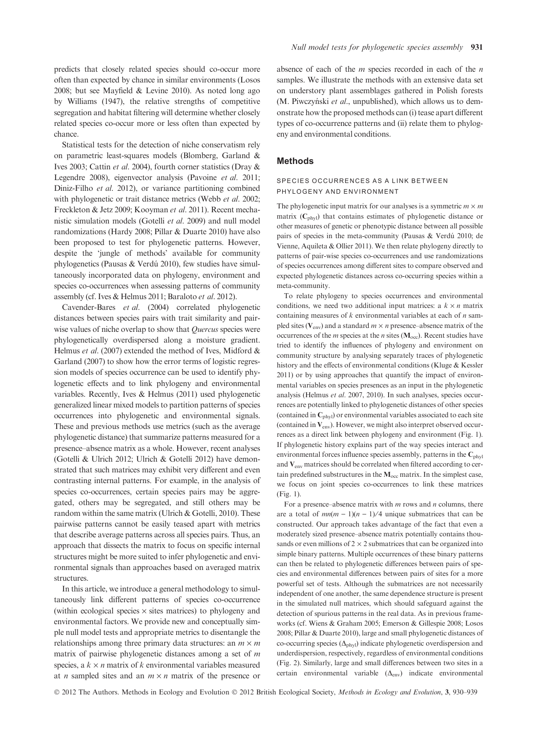predicts that closely related species should co-occur more often than expected by chance in similar environments (Losos 2008; but see Mayfield & Levine 2010). As noted long ago by Williams (1947), the relative strengths of competitive segregation and habitat filtering will determine whether closely related species co-occur more or less often than expected by chance.

Statistical tests for the detection of niche conservatism rely on parametric least-squares models (Blomberg, Garland & Ives 2003; Cattin et al. 2004), fourth corner statistics (Dray & Legendre 2008), eigenvector analysis (Pavoine et al. 2011; Diniz-Filho et al. 2012), or variance partitioning combined with phylogenetic or trait distance metrics (Webb et al. 2002; Freckleton & Jetz 2009; Kooyman et al. 2011). Recent mechanistic simulation models (Gotelli et al. 2009) and null model randomizations (Hardy 2008; Pillar & Duarte 2010) have also been proposed to test for phylogenetic patterns. However, despite the 'jungle of methods' available for community phylogenetics (Pausas & Verdú 2010), few studies have simultaneously incorporated data on phylogeny, environment and species co-occurrences when assessing patterns of community assembly (cf. Ives & Helmus 2011; Baraloto et al. 2012).

Cavender-Bares et al. (2004) correlated phylogenetic distances between species pairs with trait similarity and pairwise values of niche overlap to show that Quercus species were phylogenetically overdispersed along a moisture gradient. Helmus et al. (2007) extended the method of Ives, Midford & Garland (2007) to show how the error terms of logistic regression models of species occurrence can be used to identify phylogenetic effects and to link phylogeny and environmental variables. Recently, Ives & Helmus (2011) used phylogenetic generalized linear mixed models to partition patterns of species occurrences into phylogenetic and environmental signals. These and previous methods use metrics (such as the average phylogenetic distance) that summarize patterns measured for a presence–absence matrix as a whole. However, recent analyses (Gotelli & Ulrich 2012; Ulrich & Gotelli 2012) have demonstrated that such matrices may exhibit very different and even contrasting internal patterns. For example, in the analysis of species co-occurrences, certain species pairs may be aggregated, others may be segregated, and still others may be random within the same matrix (Ulrich & Gotelli, 2010). These pairwise patterns cannot be easily teased apart with metrics that describe average patterns across all species pairs. Thus, an approach that dissects the matrix to focus on specific internal structures might be more suited to infer phylogenetic and environmental signals than approaches based on averaged matrix structures.

In this article, we introduce a general methodology to simultaneously link different patterns of species co-occurrence (within ecological species  $\times$  sites matrices) to phylogeny and environmental factors. We provide new and conceptually simple null model tests and appropriate metrics to disentangle the relationships among three primary data structures: an  $m \times m$ matrix of pairwise phylogenetic distances among a set of  $m$ species, a  $k \times n$  matrix of k environmental variables measured at *n* sampled sites and an  $m \times n$  matrix of the presence or

absence of each of the  $m$  species recorded in each of the  $n$ samples. We illustrate the methods with an extensive data set on understory plant assemblages gathered in Polish forests (M. Piwczyński et al., unpublished), which allows us to demonstrate how the proposed methods can (i) tease apart different types of co-occurrence patterns and (ii) relate them to phylogeny and environmental conditions.

#### Methods

#### SPECIES OCCURRENCES AS A LINK BETWEEN PHYLOGENY AND ENVIRONMENT

The phylogenetic input matrix for our analyses is a symmetric  $m \times m$ matrix  $(C_{\text{phyl}})$  that contains estimates of phylogenetic distance or other measures of genetic or phenotypic distance between all possible pairs of species in the meta-community (Pausas & Verdú 2010; de Vienne, Aquileta & Ollier 2011). We then relate phylogeny directly to patterns of pair-wise species co-occurrences and use randomizations of species occurrences among different sites to compare observed and expected phylogenetic distances across co-occurring species within a meta-community.

To relate phylogeny to species occurrences and environmental conditions, we need two additional input matrices: a  $k \times n$  matrix containing measures of  $k$  environmental variables at each of  $n$  sampled sites ( $V_{env}$ ) and a standard  $m \times n$  presence–absence matrix of the occurrences of the *m* species at the *n* sites ( $M_{\text{occ}}$ ). Recent studies have tried to identify the influences of phylogeny and environment on community structure by analysing separately traces of phylogenetic history and the effects of environmental conditions (Kluge & Kessler 2011) or by using approaches that quantify the impact of environmental variables on species presences as an input in the phylogenetic analysis (Helmus et al. 2007, 2010). In such analyses, species occurrences are potentially linked to phylogenetic distances of other species (contained in  $C_{\text{phvl}}$ ) or environmental variables associated to each site (contained in  $V_{env}$ ). However, we might also interpret observed occurrences as a direct link between phylogeny and environment (Fig. 1). If phylogenetic history explains part of the way species interact and environmental forces influence species assembly, patterns in the  $C_{\text{phyl}}$ and Venv matrices should be correlated when filtered according to certain predefined substructures in the  $M_{\text{occ}}$  matrix. In the simplest case, we focus on joint species co-occurrences to link these matrices (Fig. 1).

For a presence–absence matrix with  $m$  rows and  $n$  columns, there are a total of  $mn(m - 1)(n - 1)/4$  unique submatrices that can be constructed. Our approach takes advantage of the fact that even a moderately sized presence–absence matrix potentially contains thousands or even millions of  $2 \times 2$  submatrices that can be organized into simple binary patterns. Multiple occurrences of these binary patterns can then be related to phylogenetic differences between pairs of species and environmental differences between pairs of sites for a more powerful set of tests. Although the submatrices are not necessarily independent of one another, the same dependence structure is present in the simulated null matrices, which should safeguard against the detection of spurious patterns in the real data. As in previous frameworks (cf. Wiens & Graham 2005; Emerson & Gillespie 2008; Losos 2008; Pillar & Duarte 2010), large and small phylogenetic distances of co-occurring species  $(\Delta_{\text{phyl}})$  indicate phylogenetic overdispersion and underdispersion, respectively, regardless of environmental conditions (Fig. 2). Similarly, large and small differences between two sites in a certain environmental variable  $(\Delta_{env})$  indicate environmental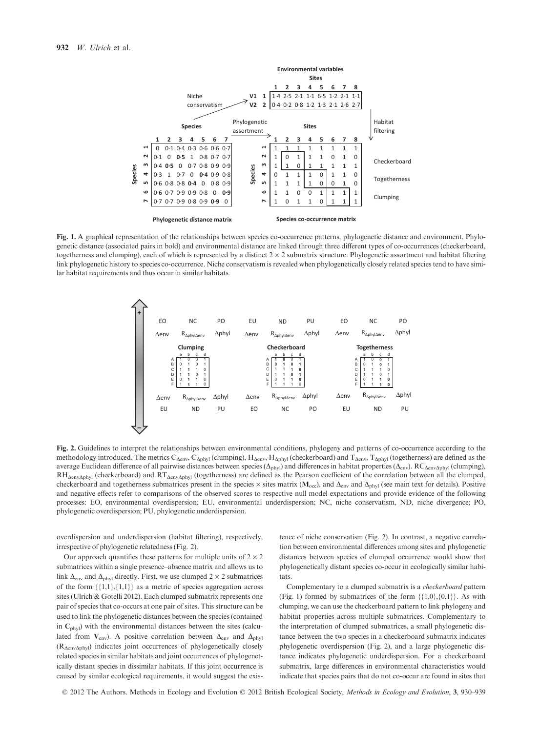

Fig. 1. A graphical representation of the relationships between species co-occurrence patterns, phylogenetic distance and environment. Phylogenetic distance (associated pairs in bold) and environmental distance are linked through three different types of co-occurrences (checkerboard, togetherness and clumping), each of which is represented by a distinct  $2 \times 2$  submatrix structure. Phylogenetic assortment and habitat filtering link phylogenetic history to species co-occurrence. Niche conservatism is revealed when phylogenetically closely related species tend to have similar habitat requirements and thus occur in similar habitats.



Fig. 2. Guidelines to interpret the relationships between environmental conditions, phylogeny and patterns of co-occurrence according to the methodology introduced. The metrics  $C_{\Delta env}$ ,  $C_{\Delta phyl}$  (clumping),  $H_{\Delta env}$ ,  $H_{\Delta phyl}$  (checkerboard) and  $T_{\Delta env}$ ,  $T_{\Delta phyl}$  (togetherness) are defined as the average Euclidean difference of all pairwise distances between species ( $\Delta_{\text{phyl}}$ ) and differences in habitat properties ( $\Delta_{\text{env}}$ ). RC $_{\Delta \text{envAphyl}}$  (clumping),  $RH_{\Delta env\Delta phyl}$  (checkerboard) and  $RT_{\Delta env\Delta phyl}$  (togetherness) are defined as the Pearson coefficient of the correlation between all the clumped, checkerboard and togetherness submatrices present in the species  $\times$  sites matrix ( $M_{\text{oc}}$ ), and  $\Delta_{\text{env}}$  and  $\Delta_{\text{phy}}$  (see main text for details). Positive and negative effects refer to comparisons of the observed scores to respective null model expectations and provide evidence of the following processes: EO, environmental overdispersion; EU, environmental underdispersion; NC, niche conservatism, ND, niche divergence; PO, phylogenetic overdispersion; PU, phylogenetic underdispersion.

overdispersion and underdispersion (habitat filtering), respectively, irrespective of phylogenetic relatedness (Fig. 2).

Our approach quantifies these patterns for multiple units of  $2 \times 2$ submatrices within a single presence–absence matrix and allows us to link  $\Delta_{env}$  and  $\Delta_{phyl}$  directly. First, we use clumped 2  $\times$  2 submatrices of the form  $\{\{1,1\},\{1,1\}\}\$  as a metric of species aggregation across sites (Ulrich & Gotelli 2012). Each clumped submatrix represents one pair of species that co-occurs at one pair of sites. This structure can be used to link the phylogenetic distances between the species (contained in  $C_{\text{phvl}}$ ) with the environmental distances between the sites (calculated from  $V_{env}$ ). A positive correlation between  $\Delta_{env}$  and  $\Delta_{phyl}$  $(R_{\text{AenvAbyl}})$  indicates joint occurrences of phylogenetically closely related species in similar habitats and joint occurrences of phylogenetically distant species in dissimilar habitats. If this joint occurrence is caused by similar ecological requirements, it would suggest the existence of niche conservatism (Fig. 2). In contrast, a negative correlation between environmental differences among sites and phylogenetic distances between species of clumped occurrence would show that phylogenetically distant species co-occur in ecologically similar habitats.

Complementary to a clumped submatrix is a checkerboard pattern (Fig. 1) formed by submatrices of the form  $\{\{1,0\},\{0,1\}\}\$ . As with clumping, we can use the checkerboard pattern to link phylogeny and habitat properties across multiple submatrices. Complementary to the interpretation of clumped submatrices, a small phylogenetic distance between the two species in a checkerboard submatrix indicates phylogenetic overdispersion (Fig. 2), and a large phylogenetic distance indicates phylogenetic underdispersion. For a checkerboard submatrix, large differences in environmental characteristics would indicate that species pairs that do not co-occur are found in sites that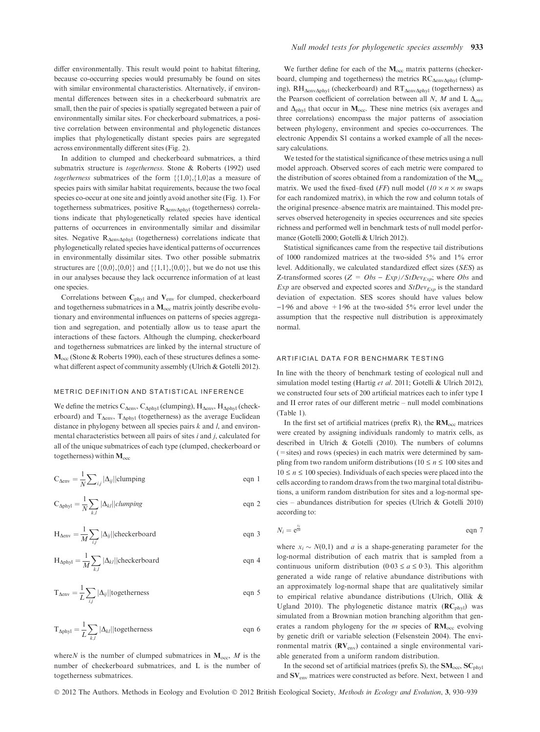differ environmentally. This result would point to habitat filtering, because co-occurring species would presumably be found on sites with similar environmental characteristics. Alternatively, if environmental differences between sites in a checkerboard submatrix are small, then the pair of species is spatially segregated between a pair of environmentally similar sites. For checkerboard submatrices, a positive correlation between environmental and phylogenetic distances implies that phylogenetically distant species pairs are segregated across environmentally different sites (Fig. 2).

In addition to clumped and checkerboard submatrices, a third submatrix structure is togetherness. Stone & Roberts (1992) used togetherness submatrices of the form  $\{\{1,0\},\{1,0\}$  as a measure of species pairs with similar habitat requirements, because the two focal species co-occur at one site and jointly avoid another site (Fig. 1). For togetherness submatrices, positive  $R_{\text{AenvAbhvl}}$  (togetherness) correlations indicate that phylogenetically related species have identical patterns of occurrences in environmentally similar and dissimilar sites. Negative  $R_{\Delta env\Delta phyl}$  (togetherness) correlations indicate that phylogenetically related species have identical patterns of occurrences in environmentally dissimilar sites. Two other possible submatrix structures are  $\{0,0\},\{0,0\}\}$  and  $\{1,1\},\{0,0\}\}$ , but we do not use this in our analyses because they lack occurrence information of at least one species.

Correlations between  $C_{phyl}$  and  $V_{env}$  for clumped, checkerboard and togetherness submatrices in a  $M_{\text{occ}}$  matrix jointly describe evolutionary and environmental influences on patterns of species aggregation and segregation, and potentially allow us to tease apart the interactions of these factors. Although the clumping, checkerboard and togetherness submatrices are linked by the internal structure of  $M<sub>occ</sub>$  (Stone & Roberts 1990), each of these structures defines a somewhat different aspect of community assembly (Ulrich & Gotelli 2012).

#### METRIC DEFINITION AND STATISTICAL INFERENCE

We define the metrics  $C_{\Delta env}$ ,  $C_{\Delta phyl}$  (clumping),  $H_{\Delta env}$ ,  $H_{\Delta phyl}$  (checkerboard) and  $T_{\Delta env}$ ,  $T_{\Delta phvl}$  (togetherness) as the average Euclidean distance in phylogeny between all species pairs  $k$  and  $l$ , and environmental characteristics between all pairs of sites  $i$  and  $j$ , calculated for all of the unique submatrices of each type (clumped, checkerboard or togetherness) within  $M_{\rm occ}$ 

$$
C_{\Delta env} = \frac{1}{N} \sum_{i,j} |\Delta_{ij}| |\text{clumping}
$$
eqn 1

$$
C_{\Delta phyl} = \frac{1}{N} \sum_{k,l} |\Delta_{kl}| |clumping \qquad \text{eqn 2}
$$

$$
H_{\Delta env} = \frac{1}{M} \sum_{i,j} |\Delta_{ij}| | \text{checkerboard} \qquad \text{eqn 3}
$$

$$
H_{\Delta phyl} = \frac{1}{M} \sum_{k,l} |\Delta_{kl}| | \text{checkerboard} \qquad \text{eqn 4}
$$

$$
T_{\Delta env} = \frac{1}{L} \sum_{i,j} |\Delta_{ij}| |\text{togetherness}
$$
 eqn 5

$$
T_{\Delta phyl} = \frac{1}{L} \sum_{k,l} |\Delta_{kl}| |\text{togetherness}
$$
eqn 6

where N is the number of clumped submatrices in  $M_{\text{occ}}$ , M is the number of checkerboard submatrices, and L is the number of togetherness submatrices.

We further define for each of the  $M_{\text{occ}}$  matrix patterns (checkerboard, clumping and togetherness) the metrics  $RC_{\Delta env\Delta phyl}$  (clumping), RH<sub> $\Delta$ env $\Delta$ phyl (checkerboard) and RT $_{\Delta$ env $_{\Delta}$ phyl (togetherness) as</sub> the Pearson coefficient of correlation between all N, M and L  $\Delta_{env}$ and  $\Delta_{\text{phvl}}$  that occur in  $M_{\text{occ}}$ . These nine metrics (six averages and three correlations) encompass the major patterns of association between phylogeny, environment and species co-occurrences. The electronic Appendix S1 contains a worked example of all the necessary calculations.

We tested for the statistical significance of these metrics using a null model approach. Observed scores of each metric were compared to the distribution of scores obtained from a randomization of the  $M_{\rm occ}$ matrix. We used the fixed–fixed (*FF*) null model ( $10 \times n \times m$  swaps for each randomized matrix), in which the row and column totals of the original presence–absence matrix are maintained. This model preserves observed heterogeneity in species occurrences and site species richness and performed well in benchmark tests of null model performance (Gotelli 2000; Gotelli & Ulrich 2012).

Statistical significances came from the respective tail distributions of 1000 randomized matrices at the two-sided 5% and 1% error level. Additionally, we calculated standardized effect sizes (SES) as Z-transformed scores  $(Z = Obs - Exp) / StDev_{Exp}$ ; where Obs and  $Exp$  are observed and expected scores and  $StDev_{Exp}$  is the standard deviation of expectation. SES scores should have values below  $-1.96$  and above  $+1.96$  at the two-sided 5% error level under the assumption that the respective null distribution is approximately normal.

#### ARTIFICIAL DATA FOR BENCHMARK TESTING

In line with the theory of benchmark testing of ecological null and simulation model testing (Hartig et al. 2011; Gotelli & Ulrich 2012), we constructed four sets of 200 artificial matrices each to infer type I and II error rates of our different metric – null model combinations (Table 1).

In the first set of artificial matrices (prefix R), the  $RM<sub>occ</sub>$  matrices were created by assigning individuals randomly to matrix cells, as described in Ulrich & Gotelli (2010). The numbers of columns (=sites) and rows (species) in each matrix were determined by sampling from two random uniform distributions ( $10 \le n \le 100$  sites and  $10 \le n \le 100$  species). Individuals of each species were placed into the cells according to random draws from the two marginal total distributions, a uniform random distribution for sites and a log-normal species – abundances distribution for species (Ulrich & Gotelli 2010) according to:

$$
N_i = e^{\frac{x_i}{2a}} \qquad \qquad \text{eqn 7}
$$

where  $x_i \sim N(0,1)$  and a is a shape-generating parameter for the log-normal distribution of each matrix that is sampled from a continuous uniform distribution (0.03  $\le a \le 0.3$ ). This algorithm generated a wide range of relative abundance distributions with an approximately log-normal shape that are qualitatively similar to empirical relative abundance distributions (Ulrich, Ollik & Ugland 2010). The phylogenetic distance matrix  $(RC_{phyl})$  was simulated from a Brownian motion branching algorithm that generates a random phylogeny for the *m* species of  $RM<sub>occ</sub>$  evolving by genetic drift or variable selection (Felsenstein 2004). The environmental matrix  $(RV_{env})$  contained a single environmental variable generated from a uniform random distribution.

In the second set of artificial matrices (prefix S), the  $SM<sub>occ</sub>, SC<sub>phvl</sub>$ and SVenv matrices were constructed as before. Next, between 1 and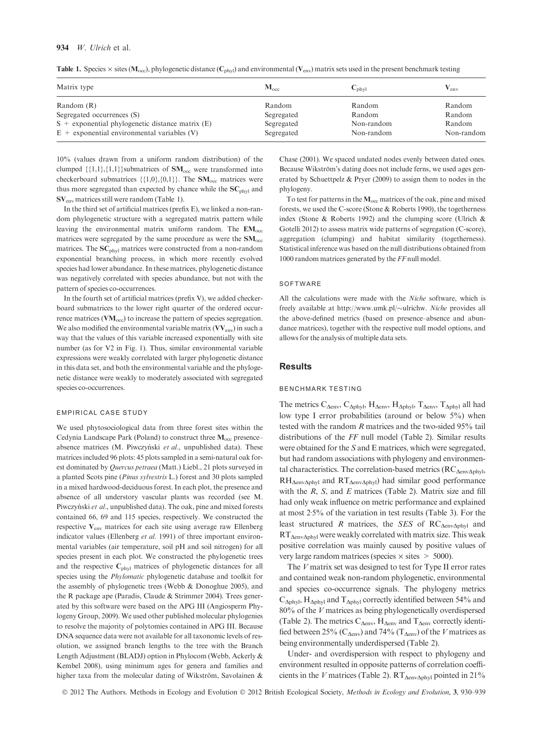#### 934 W. Ulrich et al.

|  | <b>Table 1.</b> Species $\times$ sites ( $M_{\text{occ}}$ ), phylogenetic distance ( $C_{\text{phyl}}$ ) and environmental ( $V_{\text{env}}$ ) matrix sets used in the present benchmark testing |  |  |  |  |  |  |  |  |  |  |  |  |
|--|---------------------------------------------------------------------------------------------------------------------------------------------------------------------------------------------------|--|--|--|--|--|--|--|--|--|--|--|--|
|--|---------------------------------------------------------------------------------------------------------------------------------------------------------------------------------------------------|--|--|--|--|--|--|--|--|--|--|--|--|

| $\mathbf{M}_{\text{occ}}$ | $C_{\text{phvl}}$        | env                  |
|---------------------------|--------------------------|----------------------|
| Random                    | Random                   | Random               |
| Segregated                | Random                   | Random               |
| Segregated<br>Segregated  | Non-random<br>Non-random | Random<br>Non-random |
|                           |                          |                      |

10% (values drawn from a uniform random distribution) of the clumped  $\{\{1,1\},\{1,1\}\}$ submatrices of  $SM<sub>occ</sub>$  were transformed into checkerboard submatrices  $\{\{1,0\},\{0,1\}\}\$ . The  $\text{SM}_{\text{occ}}$  matrices were thus more segregated than expected by chance while the  $SC<sub>phvl</sub>$  and SVenv matrices still were random (Table 1).

In the third set of artificial matrices (prefix E), we linked a non-random phylogenetic structure with a segregated matrix pattern while leaving the environmental matrix uniform random. The  $EM_{\text{occ}}$ matrices were segregated by the same procedure as were the  $\text{SM}_{\text{occ}}$ matrices. The SC<sub>phyl</sub> matrices were constructed from a non-random exponential branching process, in which more recently evolved species had lower abundance. In these matrices, phylogenetic distance was negatively correlated with species abundance, but not with the pattern of species co-occurrences.

In the fourth set of artificial matrices (prefix V), we added checkerboard submatrices to the lower right quarter of the ordered occurrence matrices  $(\text{VM}_{\text{occ}})$  to increase the pattern of species segregation. We also modified the environmental variable matrix  $(VV_{env})$  in such a way that the values of this variable increased exponentially with site number (as for V2 in Fig. 1). Thus, similar environmental variable expressions were weakly correlated with larger phylogenetic distance in this data set, and both the environmental variable and the phylogenetic distance were weakly to moderately associated with segregated species co-occurrences.

#### EMPIRICAL CASE STUDY

We used phytosociological data from three forest sites within the Cedynia Landscape Park (Poland) to construct three  $M_{\text{occ}}$  presenceabsence matrices (M. Piwczyński et al., unpublished data). These matrices included 96 plots: 45 plots sampled in a semi-natural oak forest dominated by Quercus petraea (Matt.) Liebl., 21 plots surveyed in a planted Scots pine (Pinus sylvestris L.) forest and 30 plots sampled in a mixed hardwood-deciduous forest. In each plot, the presence and absence of all understory vascular plants was recorded (see M. Piwczyński et al., unpublished data). The oak, pine and mixed forests contained 66, 69 and 115 species, respectively. We constructed the respective  $V_{env}$  matrices for each site using average raw Ellenberg indicator values (Ellenberg et al. 1991) of three important environmental variables (air temperature, soil pH and soil nitrogen) for all species present in each plot. We constructed the phylogenetic trees and the respective  $\mathbf{C}_{\text{phyl}}$  matrices of phylogenetic distances for all species using the Phylomatic phylogenetic database and toolkit for the assembly of phylogenetic trees (Webb & Donoghue 2005), and the R package ape (Paradis, Claude & Strimmer 2004). Trees generated by this software were based on the APG III (Angiosperm Phylogeny Group, 2009). We used other published molecular phylogenies to resolve the majority of polytomies contained in APG III. Because DNA sequence data were not available for all taxonomic levels of resolution, we assigned branch lengths to the tree with the Branch Length Adjustment (BLADJ) option in Phylocom (Webb, Ackerly & Kembel 2008), using minimum ages for genera and families and higher taxa from the molecular dating of Wikström, Savolainen &

Chase (2001). We spaced undated nodes evenly between dated ones. Because Wikström's dating does not include ferns, we used ages generated by Schuettpelz & Pryer (2009) to assign them to nodes in the phylogeny.

To test for patterns in the  $M_{\text{occ}}$  matrices of the oak, pine and mixed forests, we used the C-score (Stone & Roberts 1990), the togetherness index (Stone & Roberts 1992) and the clumping score (Ulrich & Gotelli 2012) to assess matrix wide patterns of segregation (C-score), aggregation (clumping) and habitat similarity (togetherness). Statistical inference was based on the null distributions obtained from 1000 random matrices generated by the FF null model.

#### SOFTWARE

All the calculations were made with the Niche software, which is freely available at http://www.umk.pl/~ulrichw. Niche provides all the above-defined metrics (based on presence–absence and abundance matrices), together with the respective null model options, and allows for the analysis of multiple data sets.

#### **Results**

#### BENCHMARK TESTING

The metrics  $C_{\Delta env}$ ,  $C_{\Delta phyl}$ ,  $H_{\Delta env}$ ,  $H_{\Delta phyl}$ ,  $T_{\Delta env}$ ,  $T_{\Delta phyl}$  all had low type I error probabilities (around or below 5%) when tested with the random R matrices and the two-sided 95% tail distributions of the FF null model (Table 2). Similar results were obtained for the S and E matrices, which were segregated, but had random associations with phylogeny and environmental characteristics. The correlation-based metrics ( $RC_{\Delta env\Delta phvl}$ ,  $RH_{\Delta env\Delta phy1}$  and  $RT_{\Delta env\Delta phy1}$ ) had similar good performance with the  $R$ ,  $S$ , and  $E$  matrices (Table 2). Matrix size and fill had only weak influence on metric performance and explained at most  $2.5\%$  of the variation in test results (Table 3). For the least structured R matrices, the SES of  $RC_{\text{Aenv-ohyl}}$  and  $RT_{\Delta env\Delta phy1}$  were weakly correlated with matrix size. This weak positive correlation was mainly caused by positive values of very large random matrices (species  $\times$  sites  $\geq$  5000).

The  $V$  matrix set was designed to test for Type II error rates and contained weak non-random phylogenetic, environmental and species co-occurrence signals. The phylogeny metrics  $C_{\Delta phyl}$ , H<sub> $\Delta phyl$ </sub> and T<sub> $\Delta phyl$ </sub> correctly identified between 54% and 80% of the V matrices as being phylogenetically overdispersed (Table 2). The metrics  $C_{\Delta env}$ ,  $H_{\Delta env}$  and  $T_{\Delta env}$  correctly identified between 25% ( $C_{\Delta env}$ ) and 74% ( $T_{\Delta env}$ ) of the V matrices as being environmentally underdispersed (Table 2).

Under- and overdispersion with respect to phylogeny and environment resulted in opposite patterns of correlation coefficients in the V matrices (Table 2).  $RT_{\Delta env\Delta phyl}$  pointed in 21%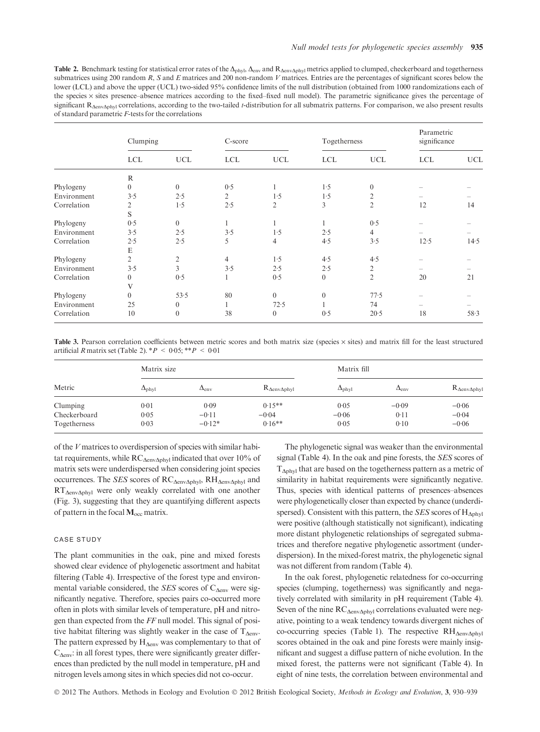Table 2. Benchmark testing for statistical error rates of the  $\Delta_{\text{phyl}}$ ,  $\Delta_{\text{env}}$  and  $R_{\Delta \text{env} \Delta \text{phyl}}$  metrics applied to clumped, checkerboard and togetherness submatrices using 200 random  $R$ ,  $S$  and  $E$  matrices and 200 non-random  $V$  matrices. Entries are the percentages of significant scores below the lower (LCL) and above the upper (UCL) two-sided 95% confidence limits of the null distribution (obtained from 1000 randomizations each of the species x sites presence-absence matrices according to the fixed-fixed null model). The parametric significance gives the percentage of significant  $R_{\Delta env\Delta phvl}$  correlations, according to the two-tailed t-distribution for all submatrix patterns. For comparison, we also present results of standard parametric F-tests for the correlations

|             | Clumping       |                | C-score        |                  | Togetherness   |                | Parametric<br>significance |            |
|-------------|----------------|----------------|----------------|------------------|----------------|----------------|----------------------------|------------|
|             | <b>LCL</b>     | <b>UCL</b>     | <b>LCL</b>     | <b>UCL</b>       | <b>LCL</b>     | <b>UCL</b>     | <b>LCL</b>                 | <b>UCL</b> |
|             | $\mathbb{R}$   |                |                |                  |                |                |                            |            |
| Phylogeny   | $\overline{0}$ | $\overline{0}$ | 0.5            |                  | 1.5            | $\mathbf{0}$   |                            |            |
| Environment | 3.5            | 2.5            | $\overline{2}$ | 1.5              | 1.5            | $\overline{c}$ |                            |            |
| Correlation | 2              | 1.5            | 2.5            | $\overline{2}$   | 3              | $\overline{2}$ | 12                         | 14         |
|             | S              |                |                |                  |                |                |                            |            |
| Phylogeny   | 0.5            | $\Omega$       |                |                  |                | 0.5            |                            |            |
| Environment | 3.5            | 2.5            | 3.5            | 1.5              | 2.5            | $\overline{4}$ |                            |            |
| Correlation | 2.5            | 2.5            | 5              | $\overline{4}$   | 4.5            | 3.5            | 12.5                       | 14.5       |
|             | E              |                |                |                  |                |                |                            |            |
| Phylogeny   | $\overline{2}$ | $\overline{2}$ | $\overline{4}$ | 1.5              | 4.5            | 4.5            |                            |            |
| Environment | 3.5            | 3              | 3.5            | 2.5              | 2.5            | 2              |                            |            |
| Correlation | $\theta$       | 0.5            |                | 0.5              | $\overline{0}$ | $\overline{c}$ | 20                         | 21         |
|             | V              |                |                |                  |                |                |                            |            |
| Phylogeny   | $\theta$       | 53.5           | 80             | $\boldsymbol{0}$ | $\overline{0}$ | 77.5           |                            |            |
| Environment | 25             | $\overline{0}$ |                | 72.5             |                | 74             |                            |            |
| Correlation | 10             | $\Omega$       | 38             | $\theta$         | 0.5            | 20.5           | 18                         | 58.3       |

Table 3. Pearson correlation coefficients between metric scores and both matrix size (species  $\times$  sites) and matrix fill for the least structured artificial R matrix set (Table 2).  $*P < 0.05$ ;  $**P < 0.01$ 

|              | Matrix size         |                |                             | Matrix fill         |                |                             |  |
|--------------|---------------------|----------------|-----------------------------|---------------------|----------------|-----------------------------|--|
| Metric       | $\Delta_{\rm phyl}$ | $\Delta_{env}$ | $R_{\Delta env\Delta phyl}$ | $\Delta_{\rm phyl}$ | $\Delta_{env}$ | $R_{\Delta env\Delta phyl}$ |  |
| Clumping     | 0.01                | 0.09           | $0.15**$                    | 0.05                | $-0.09$        | $-0.06$                     |  |
| Checkerboard | 0.05                | $-0.11$        | $-0.04$                     | $-0.06$             | 0.11           | $-0.04$                     |  |
| Togetherness | 0.03                | $-0.12*$       | $0.16**$                    | 0.05                | 0.10           | $-0.06$                     |  |

of the V matrices to overdispersion of species with similar habitat requirements, while  $RC_{\text{AenvAphvl}}$  indicated that over 10% of matrix sets were underdispersed when considering joint species occurrences. The SES scores of  $RC_{\Delta env\Delta phvl}$ ,  $RH_{\Delta env\Delta phvl}$  and  $RT_{\Delta env\Delta phvl}$  were only weakly correlated with one another (Fig. 3), suggesting that they are quantifying different aspects of pattern in the focal  $M_{\rm occ}$  matrix.

#### CASE STUDY

The plant communities in the oak, pine and mixed forests showed clear evidence of phylogenetic assortment and habitat filtering (Table 4). Irrespective of the forest type and environmental variable considered, the SES scores of  $C_{\text{Aenv}}$  were significantly negative. Therefore, species pairs co-occurred more often in plots with similar levels of temperature, pH and nitrogen than expected from the FF null model. This signal of positive habitat filtering was slightly weaker in the case of  $T_{\text{Aenv}}$ . The pattern expressed by  $H_{\Delta env}$  was complementary to that of  $C_{\text{Aenv}}$ : in all forest types, there were significantly greater differences than predicted by the null model in temperature, pH and nitrogen levels among sites in which species did not co-occur.

The phylogenetic signal was weaker than the environmental signal (Table 4). In the oak and pine forests, the SES scores of  $T_{\Delta phyl}$  that are based on the togetherness pattern as a metric of similarity in habitat requirements were significantly negative. Thus, species with identical patterns of presences–absences were phylogenetically closer than expected by chance (underdispersed). Consistent with this pattern, the SES scores of  $H_{\Delta p h\nu}$ were positive (although statistically not significant), indicating more distant phylogenetic relationships of segregated submatrices and therefore negative phylogenetic assortment (underdispersion). In the mixed-forest matrix, the phylogenetic signal was not different from random (Table 4).

In the oak forest, phylogenetic relatedness for co-occurring species (clumping, togetherness) was significantly and negatively correlated with similarity in pH requirement (Table 4). Seven of the nine  $RC_{\Delta env\Delta phyl}$  correlations evaluated were negative, pointing to a weak tendency towards divergent niches of co-occurring species (Table 1). The respective  $RH_{\Delta env\Delta phyl}$ scores obtained in the oak and pine forests were mainly insignificant and suggest a diffuse pattern of niche evolution. In the mixed forest, the patterns were not significant (Table 4). In eight of nine tests, the correlation between environmental and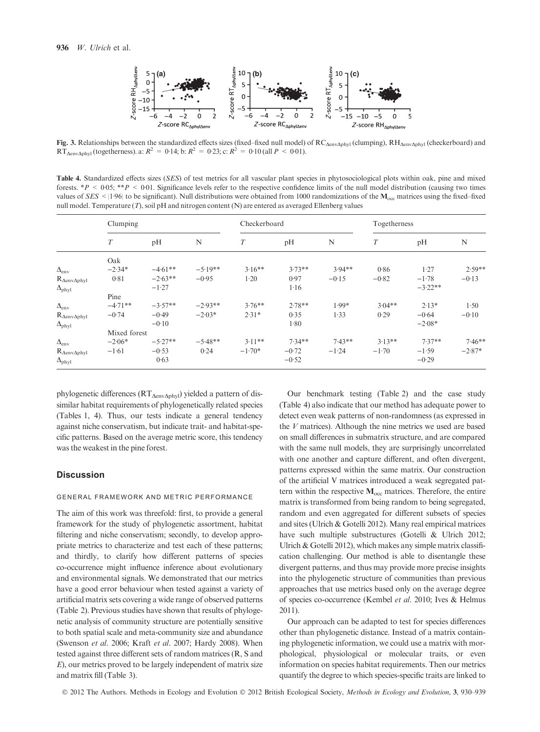

Fig. 3. Relationships between the standardized effects sizes (fixed–fixed null model) of  $RC_{\Delta env\Delta phyl}$  (clumping),  $RH_{\Delta env\Delta phyl}$  (checkerboard) and RT<sub>AenvAphyl</sub> (togetherness). a:  $R^2 = 0.14$ ; b:  $R^2 = 0.23$ ; c:  $R^2 = 0.10$  (all  $P < 0.01$ ).

Table 4. Standardized effects sizes (SES) of test metrics for all vascular plant species in phytosociological plots within oak, pine and mixed forests. \*P < 0.05; \*\*P < 0.01. Significance levels refer to the respective confidence limits of the null model distribution (causing two times values of SES < |1.96| to be significant). Null distributions were obtained from 1000 randomizations of the  $M_{\text{occ}}$  matrices using the fixed–fixed null model. Temperature (T), soil pH and nitrogen content (N) are entered as averaged Ellenberg values

|                             | Clumping     |           |           | Checkerboard |          |          | Togetherness |           |          |  |
|-----------------------------|--------------|-----------|-----------|--------------|----------|----------|--------------|-----------|----------|--|
|                             | T            | pH        | N         | T            | pH       | N        | T            | pH        | N        |  |
|                             | Oak          |           |           |              |          |          |              |           |          |  |
| $\Delta_{env}$              | $-2.34*$     | $-4.61**$ | $-5.19**$ | $3.16**$     | $3.73**$ | $3.94**$ | 0.86         | 1.27      | $2.59**$ |  |
| $R_{\Delta env\Delta phyl}$ | 0.81         | $-2.63**$ | $-0.95$   | $1-20$       | 0.97     | $-0.15$  | $-0.82$      | $-1.78$   | $-0.13$  |  |
| $\Delta_{\rm phyl}$         | $-1.27$      |           |           |              | 1.16     |          |              | $-3.22**$ |          |  |
|                             | Pine         |           |           |              |          |          |              |           |          |  |
| $\Delta_{\rm env}$          | $-4.71**$    | $-3.57**$ | $-2.93**$ | $3.76**$     | $2.78**$ | $1.99*$  | $3.04**$     | $2.13*$   | 1.50     |  |
| $R_{\Delta env\Delta phyl}$ | $-0.74$      | $-0.49$   | $-2.03*$  | $2.31*$      | 0.35     | 1.33     | 0.29         | $-0.64$   | $-0.10$  |  |
| $\Delta_{\rm phyl}$         | $-0.10$      |           |           |              | 1.80     |          |              | $-2.08*$  |          |  |
|                             | Mixed forest |           |           |              |          |          |              |           |          |  |
| $\Delta_{env}$              | $-2.06*$     | $-5.27**$ | $-5.48**$ | $3.11**$     | $7.34**$ | $7.43**$ | $3.13**$     | $7.37**$  | $7.46**$ |  |
| $R_{\Delta env\Delta phyl}$ | $-1.61$      | $-0.53$   | 0.24      | $-1.70*$     | $-0.72$  | $-1.24$  | $-1.70$      | $-1.59$   | $-2.87*$ |  |
| $\Delta_{\rm phyl}$         |              | 0.63      |           |              | $-0.52$  |          |              | $-0.29$   |          |  |

phylogenetic differences ( $RT_{\Delta env\Delta phy1}$ ) yielded a pattern of dissimilar habitat requirements of phylogenetically related species (Tables 1, 4). Thus, our tests indicate a general tendency against niche conservatism, but indicate trait- and habitat-specific patterns. Based on the average metric score, this tendency was the weakest in the pine forest.

#### **Discussion**

#### GENERAL FRAMEWORK AND METRIC PERFORMANCE

The aim of this work was threefold: first, to provide a general framework for the study of phylogenetic assortment, habitat filtering and niche conservatism; secondly, to develop appropriate metrics to characterize and test each of these patterns; and thirdly, to clarify how different patterns of species co-occurrence might influence inference about evolutionary and environmental signals. We demonstrated that our metrics have a good error behaviour when tested against a variety of artificial matrix sets covering a wide range of observed patterns (Table 2). Previous studies have shown that results of phylogenetic analysis of community structure are potentially sensitive to both spatial scale and meta-community size and abundance (Swenson et al. 2006; Kraft et al. 2007; Hardy 2008). When tested against three different sets of random matrices (R, S and E), our metrics proved to be largely independent of matrix size and matrix fill (Table 3).

Our benchmark testing (Table 2) and the case study (Table 4) also indicate that our method has adequate power to detect even weak patterns of non-randomness (as expressed in the  $V$  matrices). Although the nine metrics we used are based on small differences in submatrix structure, and are compared with the same null models, they are surprisingly uncorrelated with one another and capture different, and often divergent, patterns expressed within the same matrix. Our construction of the artificial V matrices introduced a weak segregated pattern within the respective  $M_{\text{occ}}$  matrices. Therefore, the entire matrix is transformed from being random to being segregated, random and even aggregated for different subsets of species and sites (Ulrich & Gotelli 2012). Many real empirical matrices have such multiple substructures (Gotelli & Ulrich 2012; Ulrich & Gotelli 2012), which makes any simple matrix classification challenging. Our method is able to disentangle these divergent patterns, and thus may provide more precise insights into the phylogenetic structure of communities than previous approaches that use metrics based only on the average degree of species co-occurrence (Kembel et al. 2010; Ives & Helmus 2011).

Our approach can be adapted to test for species differences other than phylogenetic distance. Instead of a matrix containing phylogenetic information, we could use a matrix with morphological, physiological or molecular traits, or even information on species habitat requirements. Then our metrics quantify the degree to which species-specific traits are linked to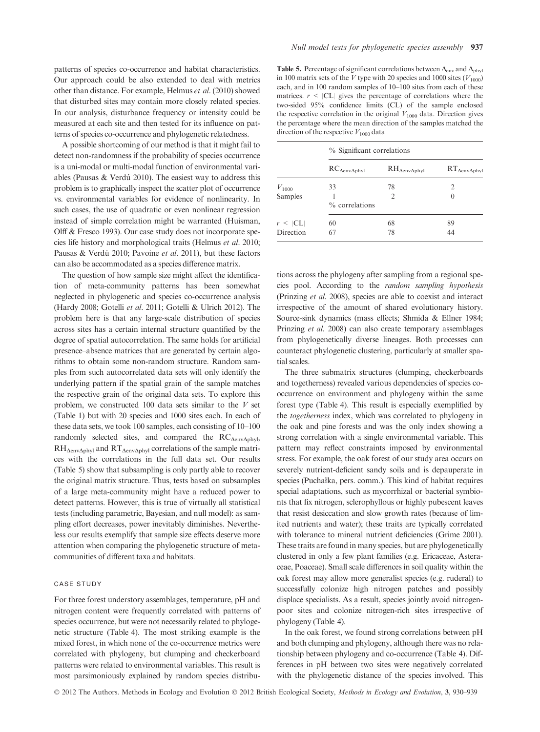patterns of species co-occurrence and habitat characteristics. Our approach could be also extended to deal with metrics other than distance. For example, Helmus et al. (2010) showed that disturbed sites may contain more closely related species. In our analysis, disturbance frequency or intensity could be measured at each site and then tested for its influence on patterns of species co-occurrence and phylogenetic relatedness.

A possible shortcoming of our method is that it might fail to detect non-randomness if the probability of species occurrence is a uni-modal or multi-modal function of environmental variables (Pausas  $&$  Verdú 2010). The easiest way to address this problem is to graphically inspect the scatter plot of occurrence vs. environmental variables for evidence of nonlinearity. In such cases, the use of quadratic or even nonlinear regression instead of simple correlation might be warranted (Huisman, Olff & Fresco 1993). Our case study does not incorporate species life history and morphological traits (Helmus et al. 2010; Pausas & Verdú 2010; Pavoine et al. 2011), but these factors can also be accommodated as a species difference matrix.

The question of how sample size might affect the identification of meta-community patterns has been somewhat neglected in phylogenetic and species co-occurrence analysis (Hardy 2008; Gotelli et al. 2011; Gotelli & Ulrich 2012). The problem here is that any large-scale distribution of species across sites has a certain internal structure quantified by the degree of spatial autocorrelation. The same holds for artificial presence–absence matrices that are generated by certain algorithms to obtain some non-random structure. Random samples from such autocorrelated data sets will only identify the underlying pattern if the spatial grain of the sample matches the respective grain of the original data sets. To explore this problem, we constructed 100 data sets similar to the  $V$  set (Table 1) but with 20 species and 1000 sites each. In each of these data sets, we took 100 samples, each consisting of 10–100 randomly selected sites, and compared the  $RC_{\Delta env\Delta phyl}$ ,  $RH_{\Delta env\Delta phvl}$  and  $RT_{\Delta env\Delta phvl}$  correlations of the sample matrices with the correlations in the full data set. Our results (Table 5) show that subsampling is only partly able to recover the original matrix structure. Thus, tests based on subsamples of a large meta-community might have a reduced power to detect patterns. However, this is true of virtually all statistical tests (including parametric, Bayesian, and null model): as sampling effort decreases, power inevitably diminishes. Nevertheless our results exemplify that sample size effects deserve more attention when comparing the phylogenetic structure of metacommunities of different taxa and habitats.

#### CASE STUDY

For three forest understory assemblages, temperature, pH and nitrogen content were frequently correlated with patterns of species occurrence, but were not necessarily related to phylogenetic structure (Table 4). The most striking example is the mixed forest, in which none of the co-occurrence metrics were correlated with phylogeny, but clumping and checkerboard patterns were related to environmental variables. This result is most parsimoniously explained by random species distribu-

Table 5. Percentage of significant correlations between  $\Delta_{env}$  and  $\Delta_{phyl}$ in 100 matrix sets of the V type with 20 species and 1000 sites  $(V_{1000})$ each, and in 100 random samples of 10–100 sites from each of these matrices.  $r \leq |CL|$  gives the percentage of correlations where the two-sided 95% confidence limits (CL) of the sample enclosed the respective correlation in the original  $V_{1000}$  data. Direction gives the percentage where the mean direction of the samples matched the direction of the respective  $V_{1000}$  data

|               | % Significant correlations   |                              |                              |  |  |  |  |
|---------------|------------------------------|------------------------------|------------------------------|--|--|--|--|
|               | $RC_{\Delta env\Delta phyl}$ | $RH_{\Delta env\Delta phyl}$ | $RT_{\Delta env\Delta phyl}$ |  |  |  |  |
| $V_{1000}$    | 33                           | 78                           | 2                            |  |  |  |  |
| Samples       | % correlations               | $\overline{2}$               | $\theta$                     |  |  |  |  |
| $r \leq  CL $ | 60                           | 68                           | 89                           |  |  |  |  |
| Direction     | 67                           | 78                           | 44                           |  |  |  |  |

tions across the phylogeny after sampling from a regional species pool. According to the random sampling hypothesis (Prinzing et al. 2008), species are able to coexist and interact irrespective of the amount of shared evolutionary history. Source-sink dynamics (mass effects; Shmida & Ellner 1984; Prinzing et al. 2008) can also create temporary assemblages from phylogenetically diverse lineages. Both processes can counteract phylogenetic clustering, particularly at smaller spatial scales.

The three submatrix structures (clumping, checkerboards and togetherness) revealed various dependencies of species cooccurrence on environment and phylogeny within the same forest type (Table 4). This result is especially exemplified by the togetherness index, which was correlated to phylogeny in the oak and pine forests and was the only index showing a strong correlation with a single environmental variable. This pattern may reflect constraints imposed by environmental stress. For example, the oak forest of our study area occurs on severely nutrient-deficient sandy soils and is depauperate in species (Puchałka, pers. comm.). This kind of habitat requires special adaptations, such as mycorrhizal or bacterial symbionts that fix nitrogen, sclerophyllous or highly pubescent leaves that resist desiccation and slow growth rates (because of limited nutrients and water); these traits are typically correlated with tolerance to mineral nutrient deficiencies (Grime 2001). These traits are found in many species, but are phylogenetically clustered in only a few plant families (e.g. Ericaceae, Asteraceae, Poaceae). Small scale differences in soil quality within the oak forest may allow more generalist species (e.g. ruderal) to successfully colonize high nitrogen patches and possibly displace specialists. As a result, species jointly avoid nitrogenpoor sites and colonize nitrogen-rich sites irrespective of phylogeny (Table 4).

In the oak forest, we found strong correlations between pH and both clumping and phylogeny, although there was no relationship between phylogeny and co-occurrence (Table 4). Differences in pH between two sites were negatively correlated with the phylogenetic distance of the species involved. This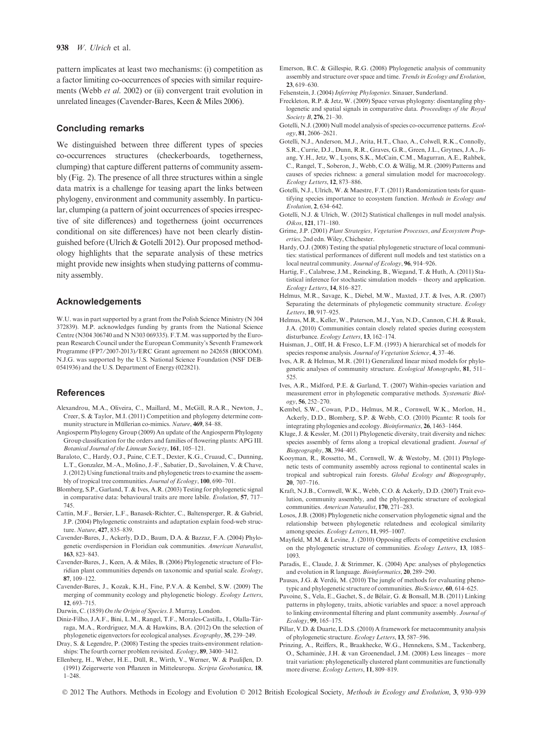pattern implicates at least two mechanisms: (i) competition as a factor limiting co-occurrences of species with similar requirements (Webb et al. 2002) or (ii) convergent trait evolution in unrelated lineages (Cavender-Bares, Keen & Miles 2006).

#### Concluding remarks

We distinguished between three different types of species co-occurrences structures (checkerboards, togetherness, clumping) that capture different patterns of community assembly (Fig. 2). The presence of all three structures within a single data matrix is a challenge for teasing apart the links between phylogeny, environment and community assembly. In particular, clumping (a pattern of joint occurrences of species irrespective of site differences) and togetherness (joint occurrences conditional on site differences) have not been clearly distinguished before (Ulrich & Gotelli 2012). Our proposed methodology highlights that the separate analysis of these metrics might provide new insights when studying patterns of community assembly.

#### Acknowledgements

W.U. was in part supported by a grant from the Polish Science Ministry (N 304 372839). M.P. acknowledges funding by grants from the National Science Centre (N304 306740 and N N303 069335). F.T.M. was supported by the European Research Council under the European Community's Seventh Framework Programme (FP7/2007-2013)/ERC Grant agreement no 242658 (BIOCOM). N.J.G. was supported by the U.S. National Science Foundation (NSF DEB-0541936) and the U.S. Department of Energy (022821).

#### References

- Alexandrou, M.A., Oliveira, C., Maillard, M., McGill, R.A.R., Newton, J., Creer, S. & Taylor, M.I. (2011) Competition and phylogeny determine community structure in Müllerian co-mimics. Nature, 469, 84-88.
- Angiosperm Phylogeny Group (2009) An update of the Angiosperm Phylogeny Group classification for the orders and families of flowering plants: APG III. Botanical Journal of the Linnean Society, 161, 105–121.
- Baraloto, C., Hardy, O.J., Paine, C.E.T., Dexter, K.G., Cruaud, C., Dunning, L.T., Gonzalez, M.-A., Molino, J.-F., Sabatier, D., Savolainen, V. & Chave, J. (2012) Using functional traits and phylogenetic trees to examine the assembly of tropical tree communities. Journal of Ecology, 100, 690–701.
- Blomberg, S.P., Garland, T. & Ives, A.R. (2003) Testing for phylogenetic signal in comparative data: behavioural traits are more labile. Evolution, 57, 717– 745.
- Cattin, M.F., Bersier, L.F., Banasek-Richter, C., Baltensperger, R. & Gabriel, J.P. (2004) Phylogenetic constraints and adaptation explain food-web structure. Nature, 427, 835–839.
- Cavender-Bares, J., Ackerly, D.D., Baum, D.A. & Bazzaz, F.A. (2004) Phylogenetic overdispersion in Floridian oak communities. American Naturalist, 163, 823–843.
- Cavender-Bares, J., Keen, A. & Miles, B. (2006) Phylogenetic structure of Floridian plant communities depends on taxonomic and spatial scale. Ecology, 87, 109–122.
- Cavender-Bares, J., Kozak, K.H., Fine, P.V.A. & Kembel, S.W. (2009) The merging of community ecology and phylogenetic biology. Ecology Letters, 12, 693–715.
- Darwin, C. (1859) On the Origin of Species. J. Murray, London.
- Diniz-Filho, J.A.F., Bini, L.M., Rangel, T.F., Morales-Castilla, I., Olalla-Tárraga, M.A., Rordríguez, M.A. & Hawkins, B.A. (2012) On the selection of phylogenetic eigenvectors for ecological analyses. Ecography, 35, 239–249.
- Dray, S. & Legendre, P. (2008) Testing the species traits-environment relationships: The fourth corner problem revisited. Ecology, 89, 3400–3412.
- Ellenberg, H., Weber, H.E., Düll, R., Wirth, V., Werner, W. & Paulißen, D. (1991) Zeigerwerte von Pflanzen in Mitteleuropa. Scripta Geobotanica, 18, 1–248.
- Emerson, B.C. & Gillespie, R.G. (2008) Phylogenetic analysis of community assembly and structure over space and time. Trends in Ecology and Evolution, 23, 619–630.
- Felsenstein, J. (2004) Inferring Phylogenies. Sinauer, Sunderland.
- Freckleton, R.P. & Jetz, W. (2009) Space versus phylogeny: disentangling phylogenetic and spatial signals in comparative data. Proceedings of the Royal Society **B**, **276**, **21**–30.
- Gotelli, N.J. (2000) Null model analysis of species co-occurrence patterns. Ecology, 81, 2606–2621.
- Gotelli, N.J., Anderson, M.J., Arita, H.T., Chao, A., Colwell, R.K., Connolly, S.R., Currie, D.J., Dunn, R.R., Graves, G.R., Green, J.L., Grytnes, J.A., Jiang, Y.H., Jetz, W., Lyons, S.K., McCain, C.M., Magurran, A.E., Rahbek, C., Rangel, T., Soberon, J., Webb, C.O. & Willig, M.R. (2009) Patterns and causes of species richness: a general simulation model for macroecology. Ecology Letters, 12, 873–886.
- Gotelli, N.J., Ulrich, W. & Maestre, F.T. (2011) Randomization tests for quantifying species importance to ecosystem function. Methods in Ecology and Evolution, 2, 634–642.
- Gotelli, N.J. & Ulrich, W. (2012) Statistical challenges in null model analysis. Oikos, 121, 171–180.
- Grime, J.P. (2001) Plant Strategies, Vegetation Processes, and Ecosystem Properties, 2nd edn. Wiley, Chichester.
- Hardy, O.J. (2008) Testing the spatial phylogenetic structure of local communities: statistical performances of different null models and test statistics on a local neutral community. Journal of Ecology, 96, 914–926.
- Hartig, F., Calabrese, J.M., Reineking, B., Wiegand, T. & Huth, A. (2011) Statistical inference for stochastic simulation models – theory and application. Ecology Letters, 14, 816–827.
- Helmus, M.R., Savage, K., Diebel, M.W., Maxted, J.T. & Ives, A.R. (2007) Separating the determinats of phylogenetic community structure. Ecology Letters, 10, 917–925.
- Helmus, M.R., Keller, W., Paterson, M.J., Yan, N.D., Cannon, C.H. & Rusak, J.A. (2010) Communities contain closely related species during ecosystem disturbance. Ecology Letters, 13, 162–174.
- Huisman, J., Olff, H. & Fresco, L.F.M. (1993) A hierarchical set of models for species response analysis. Journal of Vegetation Science, 4, 37–46.
- Ives, A.R. & Helmus, M.R. (2011) Generalized linear mixed models for phylogenetic analyses of community structure. Ecological Monographs, 81, 511– 525.
- Ives, A.R., Midford, P.E. & Garland, T. (2007) Within-species variation and measurement error in phylogenetic comparative methods. Systematic Biology, 56, 252–270.
- Kembel, S.W., Cowan, P.D., Helmus, M.R., Cornwell, W.K., Morlon, H., Ackerly, D.D., Blomberg, S.P. & Webb, C.O. (2010) Picante: R tools for integrating phylogenies and ecology. Bioinformatics, 26, 1463–1464.
- Kluge, J. & Kessler, M. (2011) Phylogenetic diversity, trait diversity and niches: species assembly of ferns along a tropical elevational gradient. Journal of Biogeography, 38, 394–405.
- Kooyman, R., Rossetto, M., Cornwell, W. & Westoby, M. (2011) Phylogenetic tests of community assembly across regional to continental scales in tropical and subtropical rain forests. Global Ecology and Biogeography, 20, 707–716.
- Kraft, N.J.B., Cornwell, W.K., Webb, C.O. & Ackerly, D.D. (2007) Trait evolution, community assembly, and the phylogenetic structure of ecological communities. American Naturalist, 170, 271–283.
- Losos, J.B. (2008) Phylogenetic niche conservation phylogenetic signal and the relationship between phylogenetic relatedness and ecological similarity among species. Ecology Letters, 11, 995–1007.
- Mayfield, M.M. & Levine, J. (2010) Opposing effects of competitive exclusion on the phylogenetic structure of communities. Ecology Letters, 13, 1085– 1093.
- Paradis, E., Claude, J. & Strimmer, K. (2004) Ape: analyses of phylogenetics and evolution in R language. Bioinformatics, 20, 289–290.
- Pausas, J.G. & Verdú, M. (2010) The jungle of methods for evaluating phenotypic and phylogenetic structure of communities. BioScience, 60, 614–625.
- Pavoine, S., Vela, E., Gachet, S., de Bélair, G. & Bonsall, M.B. (2011) Linking patterns in phylogeny, traits, abiotic variables and space: a novel approach to linking environmental filtering and plant community assembly. Journal of Ecology, 99, 165–175.
- Pillar, V.D. & Duarte, L.D.S. (2010) A framework for metacommunity analysis of phylogenetic structure. Ecology Letters, 13, 587–596.
- Prinzing, A., Reiffers, R., Braakhecke, W.G., Hennekens, S.M., Tackenberg, O., Schaminée, J.H. & van Groenendael, J.M. (2008) Less lineages – more trait variation: phylogenetically clustered plant communities are functionally more diverse. Ecology Letters, 11, 809–819.